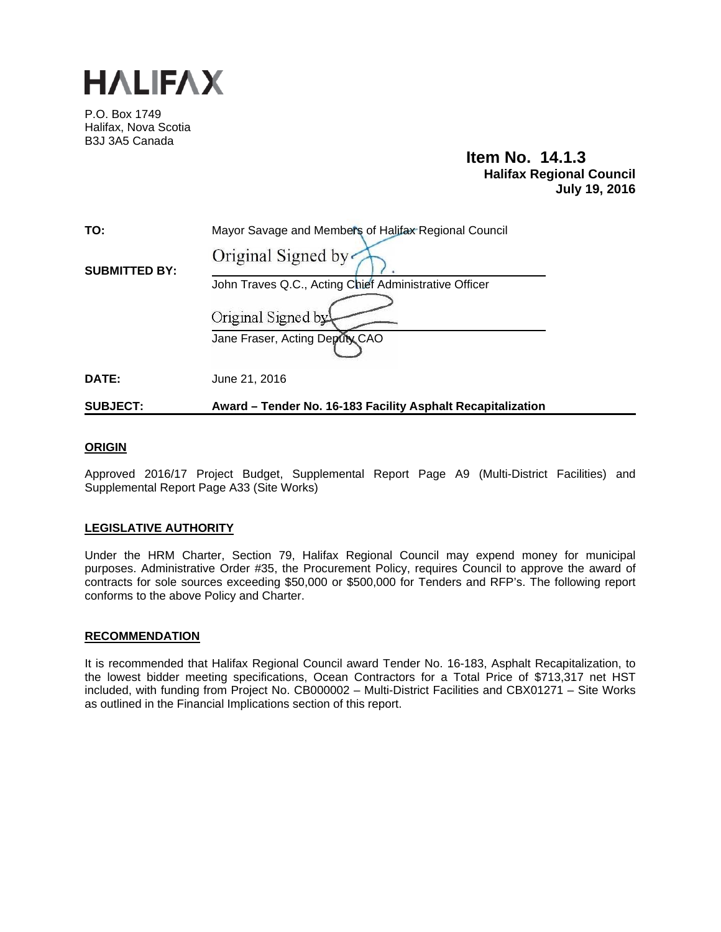

P.O. Box 1749 Halifax, Nova Scotia B3J 3A5 Canada

# **Item No. 14.1.3 Halifax Regional Council July 19, 2016**

| <b>SUBJECT:</b>      | Award - Tender No. 16-183 Facility Asphalt Recapitalization |
|----------------------|-------------------------------------------------------------|
| DATE:                | June 21, 2016                                               |
|                      | Jane Fraser, Acting Deputy CAO                              |
|                      | Original Signed by                                          |
|                      | John Traves Q.C., Acting Chief Administrative Officer       |
| <b>SUBMITTED BY:</b> | Original Signed by                                          |
| TO:                  | Mayor Savage and Members of Halifax Regional Council        |

# **ORIGIN**

Approved 2016/17 Project Budget, Supplemental Report Page A9 (Multi-District Facilities) and Supplemental Report Page A33 (Site Works)

## **LEGISLATIVE AUTHORITY**

Under the HRM Charter, Section 79, Halifax Regional Council may expend money for municipal purposes. Administrative Order #35, the Procurement Policy, requires Council to approve the award of contracts for sole sources exceeding \$50,000 or \$500,000 for Tenders and RFP's. The following report conforms to the above Policy and Charter.

## **RECOMMENDATION**

It is recommended that Halifax Regional Council award Tender No. 16-183, Asphalt Recapitalization, to the lowest bidder meeting specifications, Ocean Contractors for a Total Price of \$713,317 net HST included, with funding from Project No. CB000002 – Multi-District Facilities and CBX01271 – Site Works as outlined in the Financial Implications section of this report.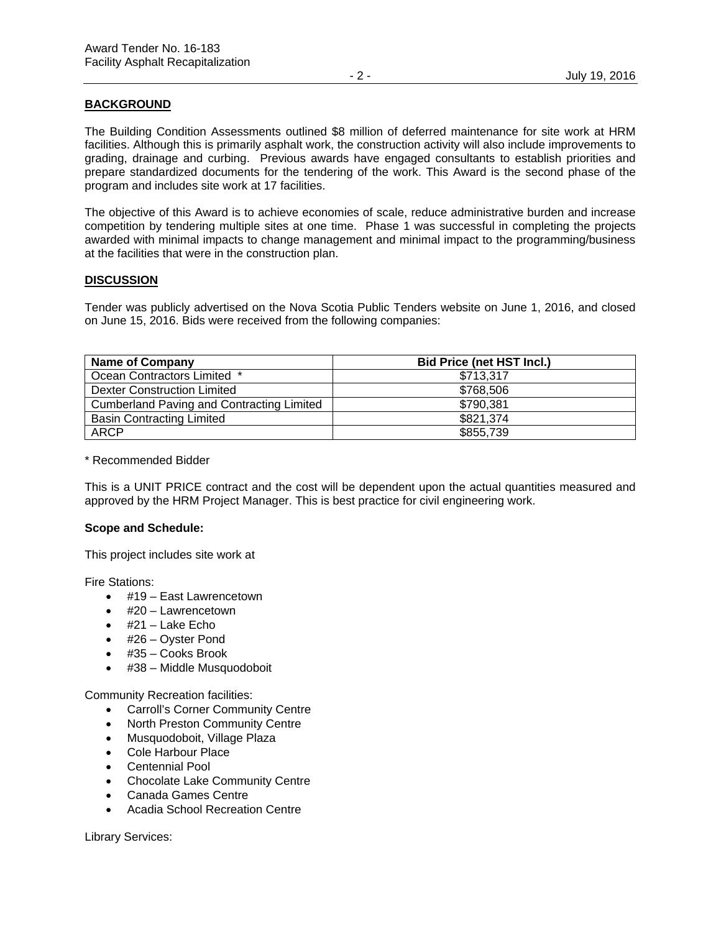# **BACKGROUND**

The Building Condition Assessments outlined \$8 million of deferred maintenance for site work at HRM facilities. Although this is primarily asphalt work, the construction activity will also include improvements to grading, drainage and curbing. Previous awards have engaged consultants to establish priorities and prepare standardized documents for the tendering of the work. This Award is the second phase of the program and includes site work at 17 facilities.

The objective of this Award is to achieve economies of scale, reduce administrative burden and increase competition by tendering multiple sites at one time. Phase 1 was successful in completing the projects awarded with minimal impacts to change management and minimal impact to the programming/business at the facilities that were in the construction plan.

## **DISCUSSION**

Tender was publicly advertised on the Nova Scotia Public Tenders website on June 1, 2016, and closed on June 15, 2016. Bids were received from the following companies:

| <b>Name of Company</b>                           | <b>Bid Price (net HST Incl.)</b> |
|--------------------------------------------------|----------------------------------|
| Ocean Contractors Limited *                      | \$713,317                        |
| Dexter Construction Limited                      | \$768,506                        |
| <b>Cumberland Paving and Contracting Limited</b> | \$790,381                        |
| <b>Basin Contracting Limited</b>                 | \$821,374                        |
| <b>ARCP</b>                                      | \$855,739                        |

## \* Recommended Bidder

This is a UNIT PRICE contract and the cost will be dependent upon the actual quantities measured and approved by the HRM Project Manager. This is best practice for civil engineering work.

## **Scope and Schedule:**

This project includes site work at

Fire Stations:

- #19 East Lawrencetown
- $\bullet$  #20 Lawrencetown
- $\bullet$  #21 Lake Echo
- #26 Oyster Pond
- #35 Cooks Brook
- #38 Middle Musquodoboit

Community Recreation facilities:

- Carroll's Corner Community Centre
- North Preston Community Centre
- Musquodoboit, Village Plaza
- Cole Harbour Place
- Centennial Pool
- Chocolate Lake Community Centre
- Canada Games Centre
- Acadia School Recreation Centre

Library Services: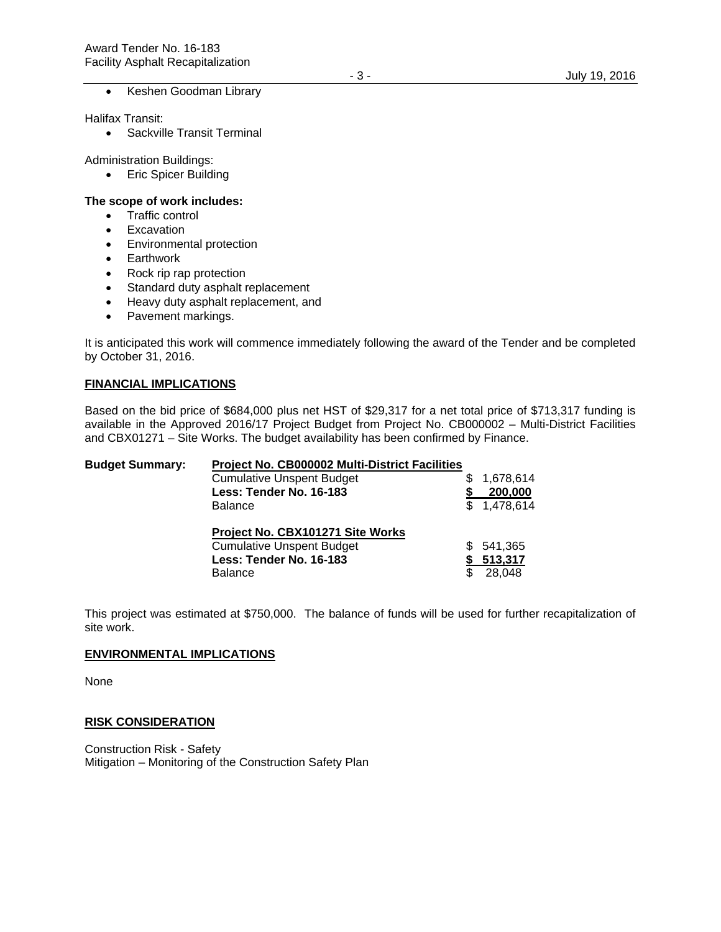• Keshen Goodman Library

Halifax Transit:

• Sackville Transit Terminal

Administration Buildings:

• Eric Spicer Building

#### **The scope of work includes:**

- Traffic control
- Excavation
- Environmental protection
- Earthwork
- Rock rip rap protection
- Standard duty asphalt replacement
- Heavy duty asphalt replacement, and
- Pavement markings.

It is anticipated this work will commence immediately following the award of the Tender and be completed by October 31, 2016.

#### **FINANCIAL IMPLICATIONS**

Based on the bid price of \$684,000 plus net HST of \$29,317 for a net total price of \$713,317 funding is available in the Approved 2016/17 Project Budget from Project No. CB000002 – Multi-District Facilities and CBX01271 – Site Works. The budget availability has been confirmed by Finance.

| <b>Budget Summary:</b> | Project No. CB000002 Multi-District Facilities |    |             |
|------------------------|------------------------------------------------|----|-------------|
|                        | <b>Cumulative Unspent Budget</b>               |    | 1,678,614   |
|                        | Less: Tender No. 16-183                        |    | 200,000     |
|                        | Balance                                        |    | \$1,478,614 |
|                        | Project No. CBX401271 Site Works               |    |             |
|                        | <b>Cumulative Unspent Budget</b>               | S. | 541,365     |
|                        | Less: Tender No. 16-183                        |    | 513,317     |
|                        | <b>Balance</b>                                 |    | 28.048      |

This project was estimated at \$750,000. The balance of funds will be used for further recapitalization of site work.

#### **ENVIRONMENTAL IMPLICATIONS**

None

#### **RISK CONSIDERATION**

Construction Risk - Safety Mitigation – Monitoring of the Construction Safety Plan